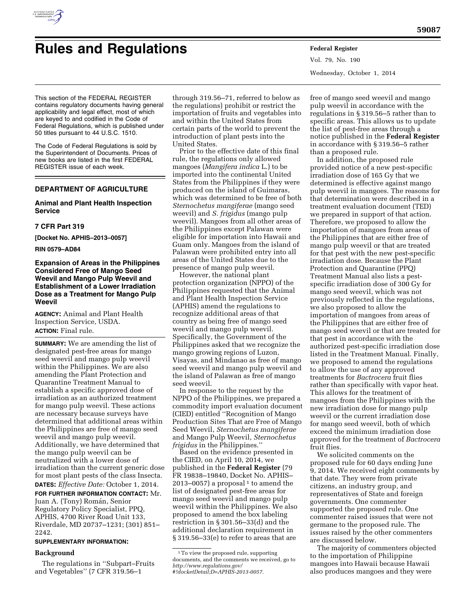

# **Rules and Regulations Federal Register**

Vol. 79, No. 190 Wednesday, October 1, 2014

This section of the FEDERAL REGISTER contains regulatory documents having general applicability and legal effect, most of which are keyed to and codified in the Code of Federal Regulations, which is published under 50 titles pursuant to 44 U.S.C. 1510.

The Code of Federal Regulations is sold by the Superintendent of Documents. Prices of new books are listed in the first FEDERAL REGISTER issue of each week.

# **DEPARTMENT OF AGRICULTURE**

# **Animal and Plant Health Inspection Service**

# **7 CFR Part 319**

**[Docket No. APHIS–2013–0057]** 

**RIN 0579–AD84** 

**Expansion of Areas in the Philippines Considered Free of Mango Seed Weevil and Mango Pulp Weevil and Establishment of a Lower Irradiation Dose as a Treatment for Mango Pulp Weevil** 

**AGENCY:** Animal and Plant Health Inspection Service, USDA. **ACTION:** Final rule.

**SUMMARY:** We are amending the list of designated pest-free areas for mango seed weevil and mango pulp weevil within the Philippines. We are also amending the Plant Protection and Quarantine Treatment Manual to establish a specific approved dose of irradiation as an authorized treatment for mango pulp weevil. These actions are necessary because surveys have determined that additional areas within the Philippines are free of mango seed weevil and mango pulp weevil. Additionally, we have determined that the mango pulp weevil can be neutralized with a lower dose of irradiation than the current generic dose for most plant pests of the class Insecta. **DATES:** *Effective Date:* October 1, 2014.

**FOR FURTHER INFORMATION CONTACT:** Mr. Juan A. (Tony) Román, Senior Regulatory Policy Specialist, PPQ, APHIS, 4700 River Road Unit 133, Riverdale, MD 20737–1231; (301) 851– 2242.

## **SUPPLEMENTARY INFORMATION:**

#### **Background**

The regulations in ''Subpart–Fruits and Vegetables'' (7 CFR 319.56–1

through 319.56–71, referred to below as the regulations) prohibit or restrict the importation of fruits and vegetables into and within the United States from certain parts of the world to prevent the introduction of plant pests into the United States.

Prior to the effective date of this final rule, the regulations only allowed mangoes (*Mangifera indica* L.) to be imported into the continental United States from the Philippines if they were produced on the island of Guimaras, which was determined to be free of both *Sternochetus mangiferae* (mango seed weevil) and *S. frigidus* (mango pulp weevil). Mangoes from all other areas of the Philippines except Palawan were eligible for importation into Hawaii and Guam only. Mangoes from the island of Palawan were prohibited entry into all areas of the United States due to the presence of mango pulp weevil.

However, the national plant protection organization (NPPO) of the Philippines requested that the Animal and Plant Health Inspection Service (APHIS) amend the regulations to recognize additional areas of that country as being free of mango seed weevil and mango pulp weevil. Specifically, the Government of the Philippines asked that we recognize the mango growing regions of Luzon, Visayas, and Mindanao as free of mango seed weevil and mango pulp weevil and the island of Palawan as free of mango seed weevil.

In response to the request by the NPPO of the Philippines, we prepared a commodity import evaluation document (CIED) entitled ''Recognition of Mango Production Sites That are Free of Mango Seed Weevil, *Sternochetus mangiferae*  and Mango Pulp Weevil, *Sternochetus frigidus* in the Philippines.''

Based on the evidence presented in the CIED, on April 10, 2014, we published in the **Federal Register** (79 FR 19838–19840, Docket No. APHIS–  $2013-0057$ ) a proposal<sup>1</sup> to amend the list of designated pest-free areas for mango seed weevil and mango pulp weevil within the Philippines. We also proposed to amend the box labeling restriction in § 301.56–33(d) and the additional declaration requirement in § 319.56–33(e) to refer to areas that are

free of mango seed weevil and mango pulp weevil in accordance with the regulations in § 319.56–5 rather than to specific areas. This allows us to update the list of pest-free areas through a notice published in the **Federal Register**  in accordance with § 319.56–5 rather than a proposed rule.

In addition, the proposed rule provided notice of a new pest-specific irradiation dose of 165 Gy that we determined is effective against mango pulp weevil in mangoes. The reasons for that determination were described in a treatment evaluation document (TED) we prepared in support of that action. Therefore, we proposed to allow the importation of mangoes from areas of the Philippines that are either free of mango pulp weevil or that are treated for that pest with the new pest-specific irradiation dose. Because the Plant Protection and Quarantine (PPQ) Treatment Manual also lists a pestspecific irradiation dose of 300 Gy for mango seed weevil, which was not previously reflected in the regulations, we also proposed to allow the importation of mangoes from areas of the Philippines that are either free of mango seed weevil or that are treated for that pest in accordance with the authorized pest-specific irradiation dose listed in the Treatment Manual. Finally, we proposed to amend the regulations to allow the use of any approved treatments for *Bactrocera* fruit flies rather than specifically with vapor heat. This allows for the treatment of mangoes from the Philippines with the new irradiation dose for mango pulp weevil or the current irradiation dose for mango seed weevil, both of which exceed the minimum irradiation dose approved for the treatment of *Bactrocera*  fruit flies.

We solicited comments on the proposed rule for 60 days ending June 9, 2014. We received eight comments by that date. They were from private citizens, an industry group, and representatives of State and foreign governments. One commenter supported the proposed rule. One commenter raised issues that were not germane to the proposed rule. The issues raised by the other commenters are discussed below.

The majority of commenters objected to the importation of Philippine mangoes into Hawaii because Hawaii also produces mangoes and they were

<sup>1</sup>To view the proposed rule, supporting documents, and the comments we received, go to *[http://www.regulations.gov/](http://www.regulations.gov/#!docketDetail;D=APHIS-2013-0057) [#!docketDetail;D=APHIS-2013-0057.](http://www.regulations.gov/#!docketDetail;D=APHIS-2013-0057)*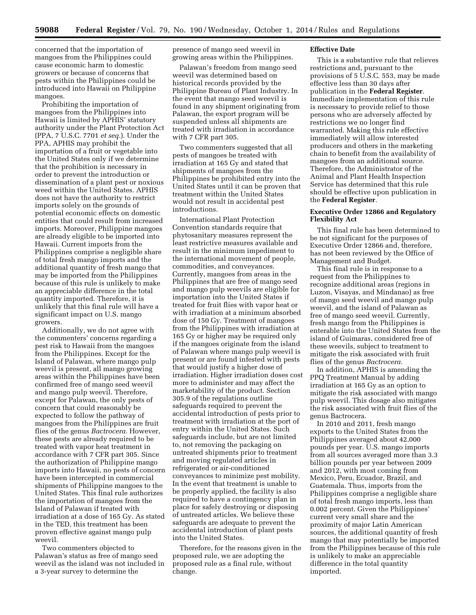concerned that the importation of mangoes from the Philippines could cause economic harm to domestic growers or because of concerns that pests within the Philippines could be introduced into Hawaii on Philippine mangoes.

Prohibiting the importation of mangoes from the Philippines into Hawaii is limited by APHIS' statutory authority under the Plant Protection Act (PPA, 7 U.S.C. 7701 *et seq.*). Under the PPA, APHIS may prohibit the importation of a fruit or vegetable into the United States only if we determine that the prohibition is necessary in order to prevent the introduction or dissemination of a plant pest or noxious weed within the United States. APHIS does not have the authority to restrict imports solely on the grounds of potential economic effects on domestic entities that could result from increased imports. Moreover, Philippine mangoes are already eligible to be imported into Hawaii. Current imports from the Philippines comprise a negligible share of total fresh mango imports and the additional quantity of fresh mango that may be imported from the Philippines because of this rule is unlikely to make an appreciable difference in the total quantity imported. Therefore, it is unlikely that this final rule will have a significant impact on U.S. mango growers.

Additionally, we do not agree with the commenters' concerns regarding a pest risk to Hawaii from the mangoes from the Philippines. Except for the Island of Palawan, where mango pulp weevil is present, all mango growing areas within the Philippines have been confirmed free of mango seed weevil and mango pulp weevil. Therefore, except for Palawan, the only pests of concern that could reasonably be expected to follow the pathway of mangoes from the Philippines are fruit flies of the genus *Bactrocera.* However, these pests are already required to be treated with vapor heat treatment in accordance with 7 CFR part 305. Since the authorization of Philippine mango imports into Hawaii, no pests of concern have been intercepted in commercial shipments of Philippine mangoes to the United States. This final rule authorizes the importation of mangoes from the Island of Palawan if treated with irradiation at a dose of 165 Gy. As stated in the TED, this treatment has been proven effective against mango pulp weevil.

Two commenters objected to Palawan's status as free of mango seed weevil as the island was not included in a 3-year survey to determine the

presence of mango seed weevil in growing areas within the Philippines.

Palawan's freedom from mango seed weevil was determined based on historical records provided by the Philippine Bureau of Plant Industry. In the event that mango seed weevil is found in any shipment originating from Palawan, the export program will be suspended unless all shipments are treated with irradiation in accordance with 7 CFR part 305.

Two commenters suggested that all pests of mangoes be treated with irradiation at 165 Gy and stated that shipments of mangoes from the Philippines be prohibited entry into the United States until it can be proven that treatment within the United States would not result in accidental pest introductions.

International Plant Protection Convention standards require that phytosanitary measures represent the least restrictive measures available and result in the minimum impediment to the international movement of people, commodities, and conveyances. Currently, mangoes from areas in the Philippines that are free of mango seed and mango pulp weevils are eligible for importation into the United States if treated for fruit flies with vapor heat or with irradiation at a minimum absorbed dose of 150 Gy. Treatment of mangoes from the Philippines with irradiation at 165 Gy or higher may be required only if the mangoes originate from the island of Palawan where mango pulp weevil is present or are found infested with pests that would justify a higher dose of irradiation. Higher irradiation doses cost more to administer and may affect the marketability of the product. Section 305.9 of the regulations outline safeguards required to prevent the accidental introduction of pests prior to treatment with irradiation at the port of entry within the United States. Such safeguards include, but are not limited to, not removing the packaging on untreated shipments prior to treatment and moving regulated articles in refrigerated or air-conditioned conveyances to minimize pest mobility. In the event that treatment is unable to be properly applied, the facility is also required to have a contingency plan in place for safely destroying or disposing of untreated articles. We believe these safeguards are adequate to prevent the accidental introduction of plant pests into the United States.

Therefore, for the reasons given in the proposed rule, we are adopting the proposed rule as a final rule, without change.

#### **Effective Date**

This is a substantive rule that relieves restrictions and, pursuant to the provisions of 5 U.S.C. 553, may be made effective less than 30 days after publication in the **Federal Register**. Immediate implementation of this rule is necessary to provide relief to those persons who are adversely affected by restrictions we no longer find warranted. Making this rule effective immediately will allow interested producers and others in the marketing chain to benefit from the availability of mangoes from an additional source. Therefore, the Administrator of the Animal and Plant Health Inspection Service has determined that this rule should be effective upon publication in the **Federal Register**.

## **Executive Order 12866 and Regulatory Flexibility Act**

This final rule has been determined to be not significant for the purposes of Executive Order 12866 and, therefore, has not been reviewed by the Office of Management and Budget.

This final rule is in response to a request from the Philippines to recognize additional areas (regions in Luzon, Visayas, and Mindanao) as free of mango seed weevil and mango pulp weevil, and the island of Palawan as free of mango seed weevil. Currently, fresh mango from the Philippines is enterable into the United States from the island of Guimaras, considered free of these weevils, subject to treatment to mitigate the risk associated with fruit flies of the genus *Bactrocera.* 

In addition, APHIS is amending the PPQ Treatment Manual by adding irradiation at 165 Gy as an option to mitigate the risk associated with mango pulp weevil. This dosage also mitigates the risk associated with fruit flies of the genus Bactrocera.

In 2010 and 2011, fresh mango exports to the United States from the Philippines averaged about 42,000 pounds per year. U.S. mango imports from all sources averaged more than 3.3 billion pounds per year between 2009 and 2012, with most coming from Mexico, Peru, Ecuador, Brazil, and Guatemala. Thus, imports from the Philippines comprise a negligible share of total fresh mango imports, less than 0.002 percent. Given the Philippines' current very small share and the proximity of major Latin American sources, the additional quantity of fresh mango that may potentially be imported from the Philippines because of this rule is unlikely to make an appreciable difference in the total quantity imported.